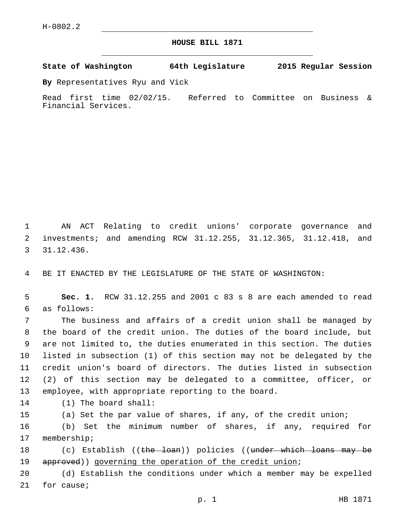## **HOUSE BILL 1871**

**State of Washington 64th Legislature 2015 Regular Session**

**By** Representatives Ryu and Vick

Read first time 02/02/15. Referred to Committee on Business & Financial Services.

1 AN ACT Relating to credit unions' corporate governance and 2 investments; and amending RCW 31.12.255, 31.12.365, 31.12.418, and 31.12.436.3

4 BE IT ENACTED BY THE LEGISLATURE OF THE STATE OF WASHINGTON:

5 **Sec. 1.** RCW 31.12.255 and 2001 c 83 s 8 are each amended to read as follows:6

 The business and affairs of a credit union shall be managed by the board of the credit union. The duties of the board include, but are not limited to, the duties enumerated in this section. The duties listed in subsection (1) of this section may not be delegated by the credit union's board of directors. The duties listed in subsection (2) of this section may be delegated to a committee, officer, or employee, with appropriate reporting to the board.

14 (1) The board shall:

15 (a) Set the par value of shares, if any, of the credit union;

16 (b) Set the minimum number of shares, if any, required for 17 membership;

18 (c) Establish ((the loan)) policies ((under which loans may be 19 approved)) governing the operation of the credit union;

20 (d) Establish the conditions under which a member may be expelled 21 for cause;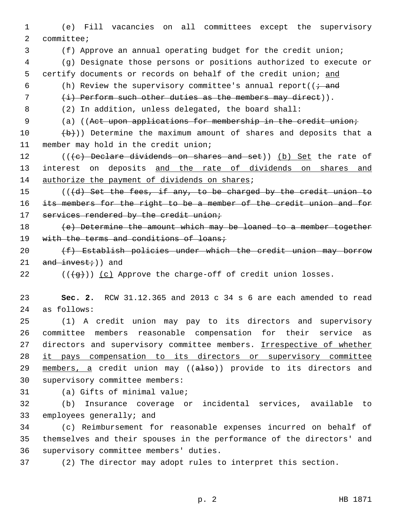1 (e) Fill vacancies on all committees except the supervisory 2 committee;

3 (f) Approve an annual operating budget for the credit union;

4 (g) Designate those persons or positions authorized to execute or

5 certify documents or records on behalf of the credit union; and

6 (h) Review the supervisory committee's annual report( $\overline{t}$  and

7 (i) Perform such other duties as the members may direct)).

8 (2) In addition, unless delegated, the board shall:

9 (a) ((Act upon applications for membership in the credit union;

10  $(b)$ )) Determine the maximum amount of shares and deposits that a 11 member may hold in the credit union;

12 (((e) Declare dividends on shares and set)) (b) Set the rate of 13 interest on deposits and the rate of dividends on shares and 14 authorize the payment of dividends on shares;

15 (((d) Set the fees, if any, to be charged by the credit union to 16 its members for the right to be a member of the credit union and for 17 services rendered by the credit union;

18 (e) Determine the amount which may be loaned to a member together 19 with the terms and conditions of loans;

20 (f) Establish policies under which the credit union may borrow 21  $and$  invest;)) and

22  $((+g))$   $(c)$  Approve the charge-off of credit union losses.

23 **Sec. 2.** RCW 31.12.365 and 2013 c 34 s 6 are each amended to read 24 as follows:

25 (1) A credit union may pay to its directors and supervisory 26 committee members reasonable compensation for their service as 27 directors and supervisory committee members. Irrespective of whether 28 it pays compensation to its directors or supervisory committee 29 members, a credit union may ((also)) provide to its directors and 30 supervisory committee members:

31 (a) Gifts of minimal value;

32 (b) Insurance coverage or incidental services, available to 33 employees generally; and

34 (c) Reimbursement for reasonable expenses incurred on behalf of 35 themselves and their spouses in the performance of the directors' and 36 supervisory committee members' duties.

37 (2) The director may adopt rules to interpret this section.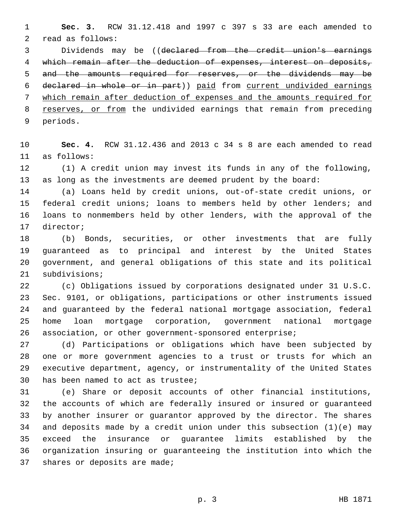**Sec. 3.** RCW 31.12.418 and 1997 c 397 s 33 are each amended to 2 read as follows:

 Dividends may be ((declared from the credit union's earnings which remain after the deduction of expenses, interest on deposits, 5 and the amounts required for reserves, or the dividends may be declared in whole or in part)) paid from current undivided earnings which remain after deduction of expenses and the amounts required for 8 reserves, or from the undivided earnings that remain from preceding 9 periods.

 **Sec. 4.** RCW 31.12.436 and 2013 c 34 s 8 are each amended to read as follows:11

 (1) A credit union may invest its funds in any of the following, as long as the investments are deemed prudent by the board:

 (a) Loans held by credit unions, out-of-state credit unions, or federal credit unions; loans to members held by other lenders; and loans to nonmembers held by other lenders, with the approval of the 17 director;

 (b) Bonds, securities, or other investments that are fully guaranteed as to principal and interest by the United States government, and general obligations of this state and its political 21 subdivisions;

 (c) Obligations issued by corporations designated under 31 U.S.C. Sec. 9101, or obligations, participations or other instruments issued and guaranteed by the federal national mortgage association, federal home loan mortgage corporation, government national mortgage association, or other government-sponsored enterprise;

 (d) Participations or obligations which have been subjected by one or more government agencies to a trust or trusts for which an executive department, agency, or instrumentality of the United States 30 has been named to act as trustee;

 (e) Share or deposit accounts of other financial institutions, the accounts of which are federally insured or insured or guaranteed by another insurer or guarantor approved by the director. The shares and deposits made by a credit union under this subsection (1)(e) may exceed the insurance or guarantee limits established by the organization insuring or guaranteeing the institution into which the 37 shares or deposits are made;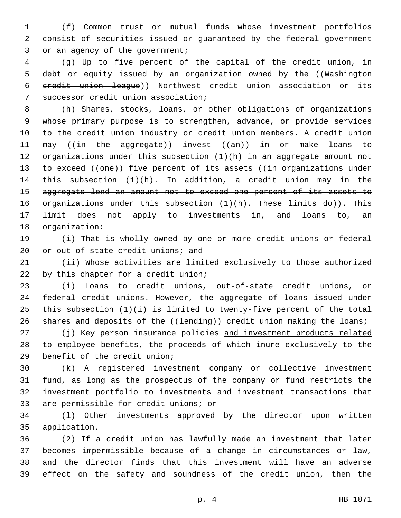1 (f) Common trust or mutual funds whose investment portfolios 2 consist of securities issued or guaranteed by the federal government 3 or an agency of the government;

4 (g) Up to five percent of the capital of the credit union, in 5 debt or equity issued by an organization owned by the ((Washington 6 credit union league)) Northwest credit union association or its 7 successor credit union association;

8 (h) Shares, stocks, loans, or other obligations of organizations 9 whose primary purpose is to strengthen, advance, or provide services 10 to the credit union industry or credit union members. A credit union 11 may ((in the aggregate)) invest ((an)) in or make loans to 12 organizations under this subsection (1)(h) in an aggregate amount not 13 to exceed ((one)) five percent of its assets ((in organizations under 14 this subsection (1)(h). In addition, a credit union may in the 15 aggregate lend an amount not to exceed one percent of its assets to 16  $-$  organizations under this subsection  $(1)(h)$ . These limits do)). This 17 limit does not apply to investments in, and loans to, an 18 organization:

19 (i) That is wholly owned by one or more credit unions or federal 20 or out-of-state credit unions; and

21 (ii) Whose activities are limited exclusively to those authorized 22 by this chapter for a credit union;

23 (i) Loans to credit unions, out-of-state credit unions, or 24 federal credit unions. However, the aggregate of loans issued under 25 this subsection (1)(i) is limited to twenty-five percent of the total 26 shares and deposits of the ((<del>lending</del>)) credit union making the loans;

27 (j) Key person insurance policies and investment products related 28 to employee benefits, the proceeds of which inure exclusively to the 29 benefit of the credit union;

 (k) A registered investment company or collective investment fund, as long as the prospectus of the company or fund restricts the investment portfolio to investments and investment transactions that 33 are permissible for credit unions; or

34 (l) Other investments approved by the director upon written application.35

 (2) If a credit union has lawfully made an investment that later becomes impermissible because of a change in circumstances or law, and the director finds that this investment will have an adverse effect on the safety and soundness of the credit union, then the